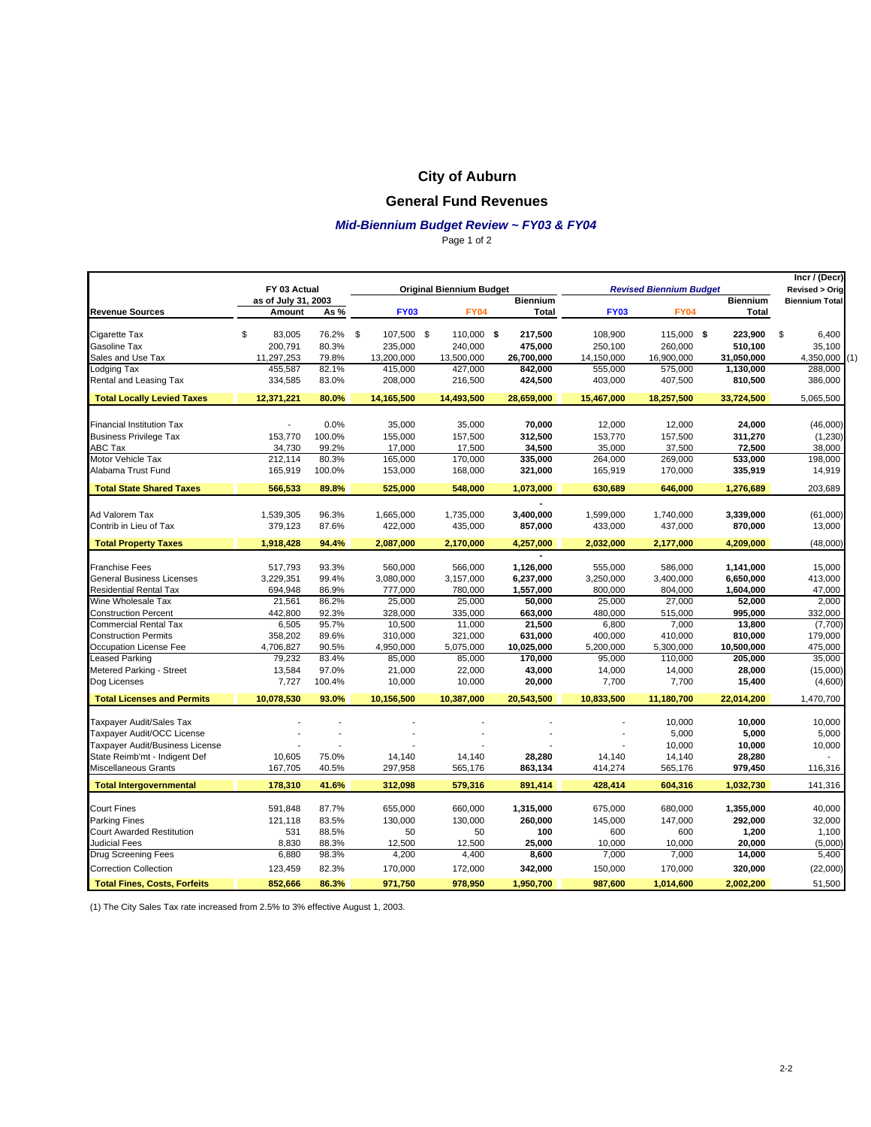# **City of Auburn**

#### **General Fund Revenues**

#### *Mid-Biennium Budget Review ~ FY03 & FY04*

Page 1 of 2

|                                     |                     |                                 |                  |  |             |  |                                |                          | Incr / (Decr) |                 |                       |
|-------------------------------------|---------------------|---------------------------------|------------------|--|-------------|--|--------------------------------|--------------------------|---------------|-----------------|-----------------------|
|                                     | FY 03 Actual        | <b>Original Biennium Budget</b> |                  |  |             |  | <b>Revised Biennium Budget</b> | <b>Revised &gt; Orig</b> |               |                 |                       |
|                                     | as of July 31, 2003 |                                 |                  |  |             |  | <b>Biennium</b>                |                          |               | <b>Biennium</b> | <b>Biennium Total</b> |
| <b>Revenue Sources</b>              | Amount              | As%                             | <b>FY03</b>      |  | <b>FY04</b> |  | <b>Total</b>                   | <b>FY03</b>              | <b>FY04</b>   | <b>Total</b>    |                       |
| Cigarette Tax                       | \$<br>83,005        | 76.2%                           | \$<br>107,500 \$ |  | 110,000 \$  |  | 217,500                        | 108,900                  | 115,000 \$    | 223,900         | \$<br>6,400           |
| Gasoline Tax                        | 200,791             | 80.3%                           | 235,000          |  | 240,000     |  | 475,000                        | 250,100                  | 260,000       | 510,100         | 35,100                |
| Sales and Use Tax                   | 11,297,253          | 79.8%                           | 13,200,000       |  | 13,500,000  |  | 26,700,000                     | 14,150,000               | 16,900,000    | 31,050,000      | 4,350,000<br>(1)      |
| Lodging Tax                         | 455,587             | 82.1%                           | 415,000          |  | 427,000     |  | 842,000                        | 555,000                  | 575,000       | 1,130,000       | 288,000               |
| Rental and Leasing Tax              | 334,585             | 83.0%                           | 208,000          |  | 216,500     |  | 424,500                        | 403,000                  | 407,500       | 810,500         | 386,000               |
| <b>Total Locally Levied Taxes</b>   | 12,371,221          | 80.0%                           | 14,165,500       |  | 14,493,500  |  | 28,659,000                     | 15,467,000               | 18,257,500    | 33,724,500      | 5,065,500             |
|                                     |                     |                                 |                  |  |             |  |                                |                          |               |                 |                       |
| <b>Financial Institution Tax</b>    |                     | 0.0%                            | 35,000           |  | 35,000      |  | 70,000                         | 12,000                   | 12,000        | 24,000          | (46,000)              |
| <b>Business Privilege Tax</b>       | 153,770             | 100.0%                          | 155,000          |  | 157,500     |  | 312,500                        | 153,770                  | 157,500       | 311,270         | (1, 230)              |
| ABC Tax                             | 34,730              | 99.2%                           | 17,000           |  | 17,500      |  | 34,500                         | 35,000                   | 37,500        | 72,500          | 38,000                |
| Motor Vehicle Tax                   | 212.114             | 80.3%                           | 165,000          |  | 170,000     |  | 335,000                        | 264,000                  | 269,000       | 533,000         | 198,000               |
| Alabama Trust Fund                  | 165,919             | 100.0%                          | 153,000          |  | 168,000     |  | 321,000                        | 165,919                  | 170,000       | 335,919         | 14,919                |
| <b>Total State Shared Taxes</b>     | 566,533             | 89.8%                           | 525,000          |  | 548,000     |  | 1,073,000                      | 630,689                  | 646,000       | 1,276,689       | 203,689               |
| Ad Valorem Tax                      | 1,539,305           | 96.3%                           | 1,665,000        |  | 1,735,000   |  | 3,400,000                      | 1,599,000                | 1,740,000     | 3,339,000       | (61,000)              |
| Contrib in Lieu of Tax              | 379,123             | 87.6%                           | 422,000          |  | 435,000     |  | 857,000                        | 433,000                  | 437,000       | 870,000         | 13,000                |
| <b>Total Property Taxes</b>         | 1,918,428           | 94.4%                           | 2,087,000        |  | 2,170,000   |  | 4,257,000                      | 2,032,000                | 2,177,000     | 4,209,000       | (48,000)              |
|                                     |                     |                                 |                  |  |             |  |                                |                          |               |                 |                       |
| <b>Franchise Fees</b>               | 517,793             | 93.3%                           | 560,000          |  | 566,000     |  | 1,126,000                      | 555,000                  | 586,000       | 1,141,000       | 15,000                |
| <b>General Business Licenses</b>    | 3,229,351           | 99.4%                           | 3,080,000        |  | 3,157,000   |  | 6,237,000                      | 3,250,000                | 3,400,000     | 6,650,000       | 413,000               |
| <b>Residential Rental Tax</b>       | 694,948             | 86.9%                           | 777,000          |  | 780,000     |  | 1,557,000                      | 800.000                  | 804,000       | 1,604,000       | 47.000                |
| Wine Wholesale Tax                  | 21,561              | 86.2%                           | 25,000           |  | 25,000      |  | 50,000                         | 25,000                   | 27,000        | 52,000          | 2,000                 |
| <b>Construction Percent</b>         | 442,800             | 92.3%                           | 328,000          |  | 335,000     |  | 663,000                        | 480,000                  | 515,000       | 995,000         | 332,000               |
| <b>Commercial Rental Tax</b>        | 6,505               | 95.7%                           | 10,500           |  | 11,000      |  | 21,500                         | 6,800                    | 7,000         | 13,800          | (7,700)               |
| <b>Construction Permits</b>         | 358,202             | 89.6%                           | 310,000          |  | 321,000     |  | 631,000                        | 400,000                  | 410,000       | 810,000         | 179,000               |
| Occupation License Fee              | 4,706,827           | 90.5%                           | 4,950,000        |  | 5,075,000   |  | 10,025,000                     | 5,200,000                | 5,300,000     | 10,500,000      | 475,000               |
| <b>Leased Parking</b>               | 79.232              | 83.4%                           | 85.000           |  | 85,000      |  | 170.000                        | 95.000                   | 110.000       | 205.000         | 35.000                |
| Metered Parking - Street            | 13,584              | 97.0%                           | 21,000           |  | 22,000      |  | 43,000                         | 14,000                   | 14,000        | 28,000          | (15,000)              |
| Dog Licenses                        | 7,727               | 100.4%                          | 10,000           |  | 10,000      |  | 20,000                         | 7,700                    | 7,700         | 15,400          | (4,600)               |
| <b>Total Licenses and Permits</b>   | 10,078,530          | 93.0%                           | 10,156,500       |  | 10,387,000  |  | 20,543,500                     | 10,833,500               | 11,180,700    | 22,014,200      | 1,470,700             |
| Taxpayer Audit/Sales Tax            |                     |                                 |                  |  |             |  |                                |                          | 10,000        | 10,000          | 10,000                |
| Taxpayer Audit/OCC License          |                     |                                 |                  |  |             |  |                                |                          | 5,000         | 5,000           | 5,000                 |
| Taxpayer Audit/Business License     |                     |                                 |                  |  |             |  |                                |                          | 10,000        | 10,000          | 10,000                |
| State Reimb'mt - Indigent Def       | 10,605              | 75.0%                           | 14,140           |  | 14,140      |  | 28,280                         | 14,140                   | 14,140        | 28,280          |                       |
| <b>Miscellaneous Grants</b>         | 167,705             | 40.5%                           | 297,958          |  | 565,176     |  | 863,134                        | 414,274                  | 565,176       | 979,450         | 116,316               |
| <b>Total Intergovernmental</b>      | 178,310             | 41.6%                           | 312,098          |  | 579,316     |  | 891,414                        | 428,414                  | 604,316       | 1,032,730       | 141,316               |
|                                     |                     |                                 |                  |  |             |  |                                |                          |               |                 |                       |
| <b>Court Fines</b>                  | 591,848             | 87.7%                           | 655,000          |  | 660,000     |  | 1,315,000                      | 675,000                  | 680,000       | 1,355,000       | 40,000                |
| <b>Parking Fines</b>                | 121,118             | 83.5%                           | 130,000          |  | 130,000     |  | 260,000                        | 145,000                  | 147,000       | 292,000         | 32,000                |
| <b>Court Awarded Restitution</b>    | 531                 | 88.5%                           | 50               |  | 50          |  | 100                            | 600                      | 600           | 1,200           | 1,100                 |
| <b>Judicial Fees</b>                | 8,830               | 88.3%                           | 12,500           |  | 12,500      |  | 25,000                         | 10,000                   | 10,000        | 20,000          | (5,000)               |
| <b>Drug Screening Fees</b>          | 6,880               | 98.3%                           | 4,200            |  | 4,400       |  | 8,600                          | 7,000                    | 7,000         | 14,000          | 5,400                 |
| <b>Correction Collection</b>        | 123,459             | 82.3%                           | 170,000          |  | 172,000     |  | 342,000                        | 150,000                  | 170,000       | 320,000         | (22,000)              |
| <b>Total Fines, Costs, Forfeits</b> | 852,666             | 86.3%                           | 971,750          |  | 978,950     |  | 1,950,700                      | 987,600                  | 1,014,600     | 2,002,200       | 51,500                |

(1) The City Sales Tax rate increased from 2.5% to 3% effective August 1, 2003.